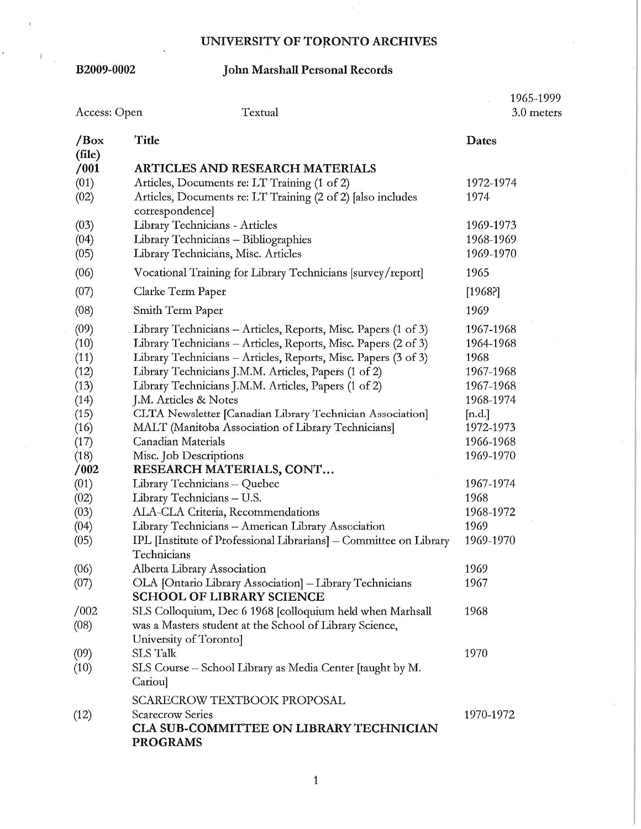# **B2009-0002 John Marshall Personal Records**

| Textual<br>Access: Open                                                                                                      |                                                                                                                                                                                                                                                                                                                                                                                                                                                                                                                                                                                                                                                                                                                                                                          | 1965-1999<br>3.0 meters                                                                                                                                                       |  |
|------------------------------------------------------------------------------------------------------------------------------|--------------------------------------------------------------------------------------------------------------------------------------------------------------------------------------------------------------------------------------------------------------------------------------------------------------------------------------------------------------------------------------------------------------------------------------------------------------------------------------------------------------------------------------------------------------------------------------------------------------------------------------------------------------------------------------------------------------------------------------------------------------------------|-------------------------------------------------------------------------------------------------------------------------------------------------------------------------------|--|
| $\sqrt{Box}$                                                                                                                 | Title                                                                                                                                                                                                                                                                                                                                                                                                                                                                                                                                                                                                                                                                                                                                                                    | Dates                                                                                                                                                                         |  |
| (file)<br>/001<br>(01)<br>(02)                                                                                               | <b>ARTICLES AND RESEARCH MATERIALS</b><br>Articles, Documents re: LT Training (1 of 2)<br>Articles, Documents re: LT Training (2 of 2) [also includes                                                                                                                                                                                                                                                                                                                                                                                                                                                                                                                                                                                                                    | 1972-1974<br>1974                                                                                                                                                             |  |
| (03)<br>(04)<br>(05)                                                                                                         | correspondence]<br>Library Technicians - Articles<br>Library Technicians - Bibliographies<br>Library Technicians, Misc. Articles                                                                                                                                                                                                                                                                                                                                                                                                                                                                                                                                                                                                                                         | 1969-1973<br>1968-1969<br>1969-1970                                                                                                                                           |  |
| (06)                                                                                                                         | Vocational Training for Library Technicians [survey/report]                                                                                                                                                                                                                                                                                                                                                                                                                                                                                                                                                                                                                                                                                                              | 1965                                                                                                                                                                          |  |
| (07)                                                                                                                         | Clarke Term Paper                                                                                                                                                                                                                                                                                                                                                                                                                                                                                                                                                                                                                                                                                                                                                        | [1968]                                                                                                                                                                        |  |
| (08)                                                                                                                         | Smith Term Paper                                                                                                                                                                                                                                                                                                                                                                                                                                                                                                                                                                                                                                                                                                                                                         | 1969                                                                                                                                                                          |  |
| (09)<br>(10)<br>(11)<br>(12)<br>(13)<br>(14)<br>(15)<br>(16)<br>(17)<br>(18)<br>/002<br>(01)<br>(02)<br>(03)<br>(04)<br>(05) | Library Technicians – Articles, Reports, Misc. Papers (1 of 3)<br>Library Technicians - Articles, Reports, Misc. Papers (2 of 3)<br>Library Technicians - Articles, Reports, Misc. Papers (3 of 3)<br>Library Technicians J.M.M. Articles, Papers (1 of 2)<br>Library Technicians J.M.M. Articles, Papers (1 of 2)<br>J.M. Articles & Notes<br>CLTA Newsletter [Canadian Library Technician Association]<br>MALT (Manitoba Association of Library Technicians)<br>Canadian Materials<br>Misc. Job Descriptions<br>RESEARCH MATERIALS, CONT<br>Library Technicians - Quebec<br>Library Technicians - U.S.<br>ALA-CLA Criteria, Recommendations<br>Library Technicians - American Library Association<br>IPL [Institute of Professional Librarians] - Committee on Library | 1967-1968<br>1964-1968<br>1968<br>1967-1968<br>1967-1968<br>1968-1974<br>[n.d.]<br>1972-1973<br>1966-1968<br>1969-1970<br>1967-1974<br>1968<br>1968-1972<br>1969<br>1969-1970 |  |
|                                                                                                                              | Technicians                                                                                                                                                                                                                                                                                                                                                                                                                                                                                                                                                                                                                                                                                                                                                              |                                                                                                                                                                               |  |
| (06)<br>(07)                                                                                                                 | Alberta Library Association<br>OLA [Ontario Library Association] - Library Technicians<br><b>SCHOOL OF LIBRARY SCIENCE</b>                                                                                                                                                                                                                                                                                                                                                                                                                                                                                                                                                                                                                                               | 1969<br>1967                                                                                                                                                                  |  |
| /002<br>(08)                                                                                                                 | SLS Colloquium, Dec 6 1968 [colloquium held when Marhsall<br>was a Masters student at the School of Library Science,                                                                                                                                                                                                                                                                                                                                                                                                                                                                                                                                                                                                                                                     | 1968                                                                                                                                                                          |  |
| (09)<br>(10)                                                                                                                 | University of Toronto]<br><b>SLS Talk</b><br>SLS Course - School Library as Media Center [taught by M.<br>Cariou]                                                                                                                                                                                                                                                                                                                                                                                                                                                                                                                                                                                                                                                        | 1970                                                                                                                                                                          |  |
| (12)                                                                                                                         | <b>SCARECROW TEXTBOOK PROPOSAL</b><br><b>Scarecrow Series</b><br><b>CLA SUB-COMMITTEE ON LIBRARY TECHNICIAN</b><br><b>PROGRAMS</b>                                                                                                                                                                                                                                                                                                                                                                                                                                                                                                                                                                                                                                       | 1970-1972                                                                                                                                                                     |  |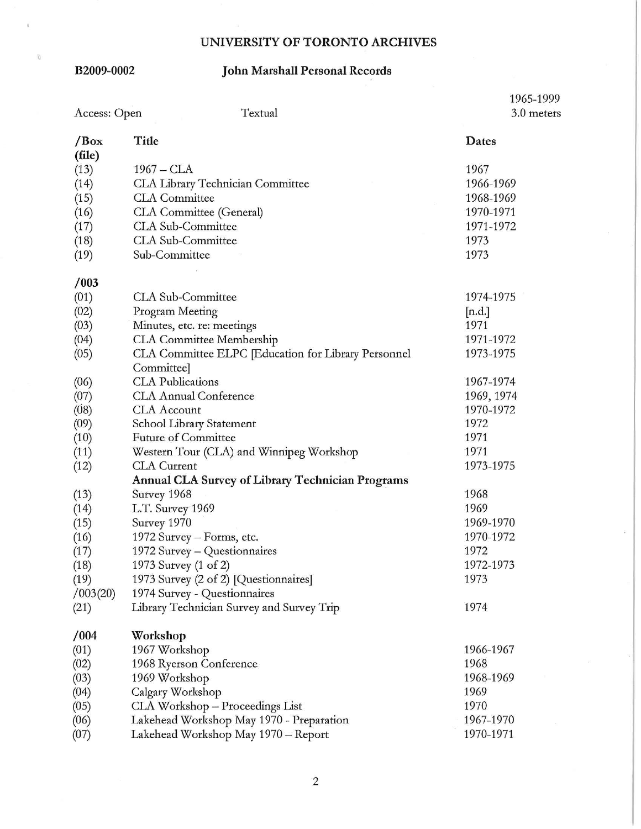$\theta$ 

### **B2009-0002 John Marshall Personal Records**

|                        |                                                                           | 1965-1999  |  |
|------------------------|---------------------------------------------------------------------------|------------|--|
| Access: Open           | Textual                                                                   | 3.0 meters |  |
| $\sqrt{Box}$<br>(file) | Title                                                                     | Dates      |  |
| (13)                   | $1967 - CLA$                                                              | 1967       |  |
| (14)                   | CLA Library Technician Committee                                          | 1966-1969  |  |
| (15)                   | <b>CLA</b> Committee                                                      | 1968-1969  |  |
| (16)                   | CLA Committee (General)                                                   | 1970-1971  |  |
| (17)                   | CLA Sub-Committee                                                         | 1971-1972  |  |
| (18)                   | CLA Sub-Committee                                                         | 1973       |  |
| (19)                   | Sub-Committee                                                             | 1973       |  |
| /003                   |                                                                           |            |  |
| (01)                   | CLA Sub-Committee                                                         | 1974-1975  |  |
| (02)                   | Program Meeting                                                           | [n.d.]     |  |
| (03)                   | Minutes, etc. re: meetings                                                | 1971       |  |
| (04)                   | <b>CLA</b> Committee Membership                                           | 1971-1972  |  |
| (05)                   | CLA Committee ELPC [Education for Library Personnel<br>Committee]         | 1973-1975  |  |
|                        | <b>CLA</b> Publications                                                   | 1967-1974  |  |
| (06)                   | <b>CLA Annual Conference</b>                                              | 1969, 1974 |  |
| (07)                   | <b>CLA</b> Account                                                        | 1970-1972  |  |
| (08)                   | School Library Statement                                                  | 1972       |  |
| (09)                   | <b>Future of Committee</b>                                                | 1971       |  |
| (10)                   |                                                                           | 1971       |  |
| (11)                   | Western Tour (CLA) and Winnipeg Workshop<br><b>CLA</b> Current            | 1973-1975  |  |
| (12)                   |                                                                           |            |  |
|                        | <b>Annual CLA Survey of Library Technician Programs</b>                   | 1968       |  |
| (13)                   | Survey 1968                                                               | 1969       |  |
| (14)                   | L.T. Survey 1969                                                          | 1969-1970  |  |
| (15)                   | Survey 1970                                                               |            |  |
| (16)                   | 1972 Survey – Forms, etc.                                                 | 1970-1972  |  |
| (17)                   | 1972 Survey – Questionnaires                                              | 1972       |  |
| (18)                   | 1973 Survey (1 of 2)                                                      | 1972-1973  |  |
| (19)                   | 1973 Survey (2 of 2) [Questionnaires]                                     | 1973       |  |
| /003(20)<br>(21)       | 1974 Survey - Questionnaires<br>Library Technician Survey and Survey Trip | 1974       |  |
| /004                   | Workshop                                                                  |            |  |
| (01)                   | 1967 Workshop                                                             | 1966-1967  |  |
| (02)                   |                                                                           | 1968       |  |
|                        | 1968 Ryerson Conference<br>1969 Workshop                                  | 1968-1969  |  |
| (03)                   | Calgary Workshop                                                          | 1969       |  |
| (04)                   | CLA Workshop - Proceedings List                                           | 1970       |  |
| (05)<br>(06)           | Lakehead Workshop May 1970 - Preparation                                  | 1967-1970  |  |
|                        | Lakehead Workshop May 1970 - Report                                       | 1970-1971  |  |
| (07)                   |                                                                           |            |  |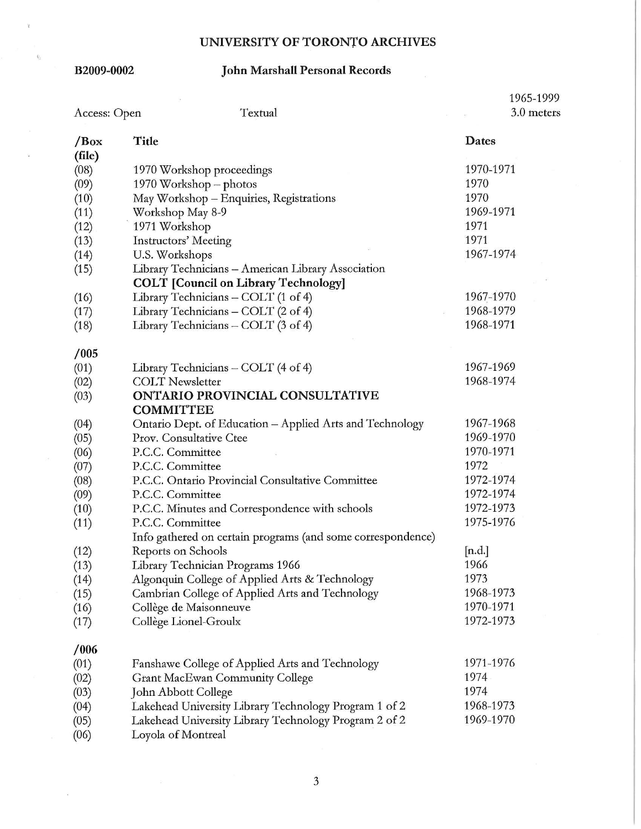$\mathcal{U}$ 

### **B2009-0002 John Marshall Personal Records**

|                               |                                                                                                   | 1965-1999  |
|-------------------------------|---------------------------------------------------------------------------------------------------|------------|
| Access: Open                  | Textual                                                                                           | 3.0 meters |
| $\sqrt{\text{Box}}$<br>(file) | Title                                                                                             | Dates      |
| (08)                          | 1970 Workshop proceedings                                                                         | 1970-1971  |
| (09)                          | 1970 Workshop - photos                                                                            | 1970       |
| (10)                          | May Workshop - Enquiries, Registrations                                                           | 1970       |
| (11)                          | Workshop May 8-9                                                                                  | 1969-1971  |
| (12)                          | 1971 Workshop                                                                                     | 1971       |
| (13)                          | <b>Instructors' Meeting</b>                                                                       | 1971       |
| (14)                          | U.S. Workshops                                                                                    | 1967-1974  |
| (15)                          | Library Technicians - American Library Association<br><b>COLT</b> [Council on Library Technology] |            |
| (16)                          | Library Technicians - COLT (1 of 4)                                                               | 1967-1970  |
| (17)                          | Library Technicians - COLT (2 of 4)                                                               | 1968-1979  |
| (18)                          | Library Technicians - COLT (3 of 4)                                                               | 1968-1971  |
| /005                          |                                                                                                   |            |
| (01)                          | Library Technicians - COLT (4 of 4)                                                               | 1967-1969  |
| (02)                          | <b>COLT Newsletter</b>                                                                            | 1968-1974  |
| (03)                          | ONTARIO PROVINCIAL CONSULTATIVE<br><b>COMMITTEE</b>                                               |            |
| (04)                          | Ontario Dept. of Education - Applied Arts and Technology                                          | 1967-1968  |
| (05)                          | Prov. Consultative Ctee                                                                           | 1969-1970  |
| (06)                          | P.C.C. Committee                                                                                  | 1970-1971  |
| (07)                          | P.C.C. Committee                                                                                  | 1972       |
| (08)                          | P.C.C. Ontario Provincial Consultative Committee                                                  | 1972-1974  |
| (09)                          | P.C.C. Committee                                                                                  | 1972-1974  |
| (10)                          | P.C.C. Minutes and Correspondence with schools                                                    | 1972-1973  |
| (11)                          | P.C.C. Committee                                                                                  | 1975-1976  |
|                               | Info gathered on certain programs (and some correspondence)                                       |            |
| (12)                          | Reports on Schools                                                                                | [n.d.]     |
| (13)                          | Library Technician Programs 1966                                                                  | 1966       |
| (14)                          | Algonquin College of Applied Arts & Technology                                                    | 1973       |
| (15)                          | Cambrian College of Applied Arts and Technology                                                   | 1968-1973  |
| (16)                          | Collège de Maisonneuve                                                                            | 1970-1971  |
| (17)                          | Collège Lionel-Groulx                                                                             | 1972-1973  |
| /006                          |                                                                                                   |            |
| (01)                          | Fanshawe College of Applied Arts and Technology                                                   | 1971-1976  |
| (02)                          | <b>Grant MacEwan Community College</b>                                                            | 1974       |
| (03)                          | John Abbott College                                                                               | 1974       |
| (04)                          | Lakehead University Library Technology Program 1 of 2                                             | 1968-1973  |
| (05)<br>$\sqrt{2}$            | Lakehead University Library Technology Program 2 of 2                                             | 1969-1970  |

(06) Loyola of Montreal